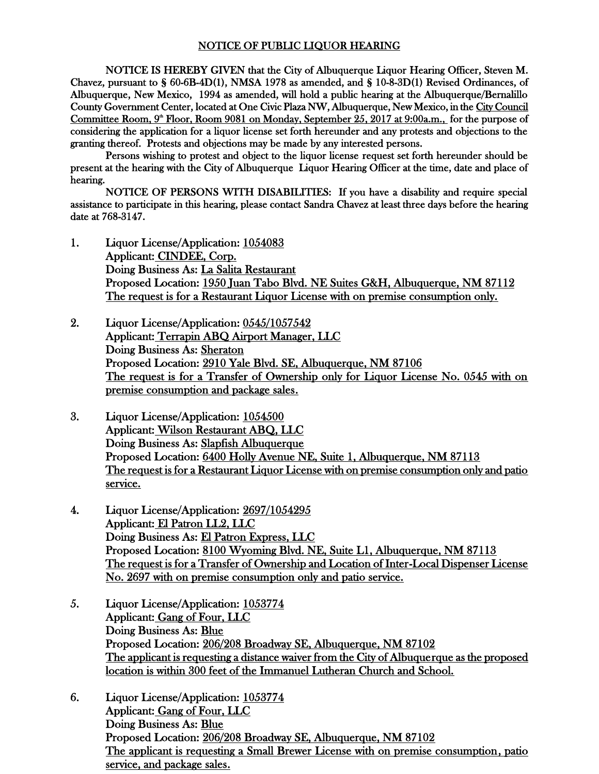## NOTICE OF PUBLIC LIQUOR HEARING

NOTICE IS HEREBY GIVEN that the City of Albuquerque Liquor Hearing Officer, Steven M. Chavez, pursuant to § 60-6B-4D(1), NMSA 1978 as amended, and § 10-8-3D(1) Revised Ordinances, of Albuquerque, New Mexico, 1994 as amended, will hold a public hearing at the Albuquerque/Bernalillo County Government Center, located at One Civic Plaza NW, Albuquerque, New Mexico, in the City Council Committee Room, 9<sup>\*</sup> Floor, Room 9081 on Monday, September 25, 2017 at 9:00a.m., for the purpose of considering the application for a liquor license set forth hereunder and any protests and objections to the granting thereof. Protests and objections may be made by any interested persons.

Persons wishing to protest and object to the liquor license request set forth hereunder should be present at the hearing with the City of Albuquerque Liquor Hearing Officer at the time, date and place of hearing.

NOTICE OF PERSONS WITH DISABILITIES: If you have a disability and require special assistance to participate in this hearing, please contact Sandra Chavez at least three days before the hearing date at 768-3147.

- 1. Liquor License/Application: 1054083 Applicant: CINDEE, Corp. Doing Business As: La Salita Restaurant Proposed Location: 1950 Juan Tabo Blvd. NE Suites G&H, Albuquerque, NM 87112 The request is for a Restaurant Liquor License with on premise consumption only.
- 2. Liquor License/Application: 0545/1057542 Applicant: Terrapin ABQ Airport Manager, LLC Doing Business As: Sheraton Proposed Location: 2910 Yale Blvd. SE, Albuquerque, NM 87106 The request is for a Transfer of Ownership only for Liquor License No. 0545 with on premise consumption and package sales.
- 3. Liquor License/Application: 1054500 Applicant: Wilson Restaurant ABQ, LLC Doing Business As: Slapfish Albuquerque Proposed Location: 6400 Holly Avenue NE, Suite 1, Albuquerque, NM 87113 The request is for a Restaurant Liquor License with on premise consumption only and patio service.
- 4. Liquor License/Application: 2697/1054295 Applicant: El Patron LL2, LLC Doing Business As: El Patron Express, LLC Proposed Location: 8100 Wyoming Blvd. NE, Suite L1, Albuquerque, NM 87113 The request is for a Transfer of Ownership and Location of Inter-Local Dispenser License No. 2697 with on premise consumption only and patio service.
- 5. Liquor License/Application: 1053774 Applicant: Gang of Four, LLC Doing Business As: Blue Proposed Location: 206/208 Broadway SE, Albuquerque, NM 87102 The applicant is requesting a distance waiver from the City of Albuquerque as the proposed location is within 300 feet of the Immanuel Lutheran Church and School.
- 6. Liquor License/Application: 1053774 Applicant: Gang of Four, LLC Doing Business As: Blue Proposed Location: 206/208 Broadway SE, Albuquerque, NM 87102 The applicant is requesting a Small Brewer License with on premise consumption, patio service, and package sales.